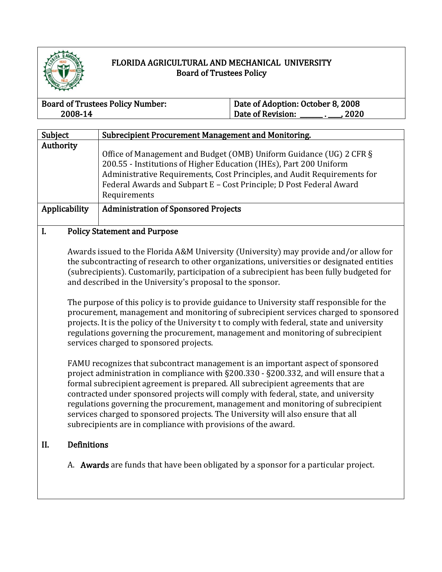

## FLORIDA AGRICULTURAL AND MECHANICAL UNIVERSITY Board of Trustees Policy

| <b>Board of Trustees Policy Number:</b> | Date of Adoption: October 8, 2008 |  |
|-----------------------------------------|-----------------------------------|--|
| 2008-14                                 | Date of Revision:<br>2020         |  |

| Subject                             | Subrecipient Procurement Management and Monitoring.                                                                                                                                                                                                                                                          |
|-------------------------------------|--------------------------------------------------------------------------------------------------------------------------------------------------------------------------------------------------------------------------------------------------------------------------------------------------------------|
| Authority                           | Office of Management and Budget (OMB) Uniform Guidance (UG) 2 CFR §<br>200.55 - Institutions of Higher Education (IHEs), Part 200 Uniform<br>Administrative Requirements, Cost Principles, and Audit Requirements for<br>Federal Awards and Subpart E - Cost Principle; D Post Federal Award<br>Requirements |
| Applicability                       | <b>Administration of Sponsored Projects</b>                                                                                                                                                                                                                                                                  |
| <b>Policy Statement and Purpose</b> |                                                                                                                                                                                                                                                                                                              |

## Awards issued to the Florida A&M University (University) may provide and/or allow for the subcontracting of research to other organizations, universities or designated entities

(subrecipients). Customarily, participation of a subrecipient has been fully budgeted for and described in the University's proposal to the sponsor.

The purpose of this policy is to provide guidance to University staff responsible for the procurement, management and monitoring of subrecipient services charged to sponsored projects. It is the policy of the University t to comply with federal, state and university regulations governing the procurement, management and monitoring of subrecipient services charged to sponsored projects.

FAMU recognizes that subcontract management is an important aspect of sponsored project administration in compliance with §200.330 - §200.332, and will ensure that a formal subrecipient agreement is prepared. All subrecipient agreements that are contracted under sponsored projects will comply with federal, state, and university regulations governing the procurement, management and monitoring of subrecipient services charged to sponsored projects. The University will also ensure that all subrecipients are in compliance with provisions of the award.

## II. Definitions

A. Awards are funds that have been obligated by a sponsor for a particular project.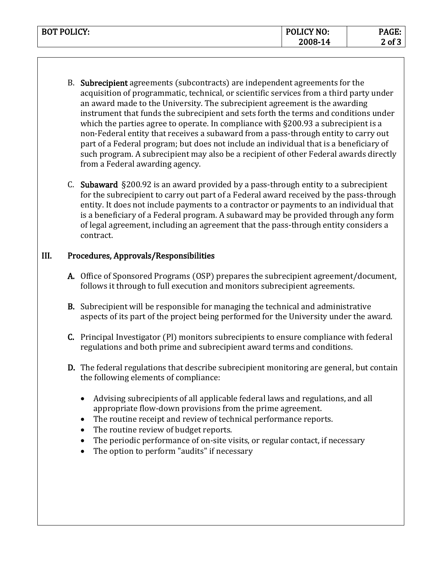| <b>BOT POLICY:</b> | <b>POLICY NO:</b> | <b>DACE</b><br>'AGL: |
|--------------------|-------------------|----------------------|
|                    | 2008-14           | $2$ of $\tilde{ }$   |

- B. Subrecipient agreements (subcontracts) are independent agreements for the acquisition of programmatic, technical, or scientific services from a third party under an award made to the University. The subrecipient agreement is the awarding instrument that funds the subrecipient and sets forth the terms and conditions under which the parties agree to operate. In compliance with §200.93 a subrecipient is a non-Federal entity that receives a subaward from a pass-through entity to carry out part of a Federal program; but does not include an individual that is a beneficiary of such program. A subrecipient may also be a recipient of other Federal awards directly from a Federal awarding agency.
- C. Subaward §200.92 is an award provided by a pass-through entity to a subrecipient for the subrecipient to carry out part of a Federal award received by the pass-through entity. It does not include payments to a contractor or payments to an individual that is a beneficiary of a Federal program. A subaward may be provided through any form of legal agreement, including an agreement that the pass-through entity considers a contract.

## III. Procedures, Approvals/Responsibilities

- A. Office of Sponsored Programs (OSP) prepares the subrecipient agreement/document, follows it through to full execution and monitors subrecipient agreements.
- B. Subrecipient will be responsible for managing the technical and administrative aspects of its part of the project being performed for the University under the award.
- C. Principal Investigator (Pl) monitors subrecipients to ensure compliance with federal regulations and both prime and subrecipient award terms and conditions.
- D. The federal regulations that describe subrecipient monitoring are general, but contain the following elements of compliance:
	- Advising subrecipients of all applicable federal laws and regulations, and all appropriate flow-down provisions from the prime agreement.
	- The routine receipt and review of technical performance reports.
	- The routine review of budget reports.
	- The periodic performance of on-site visits, or regular contact, if necessary
	- The option to perform "audits" if necessary